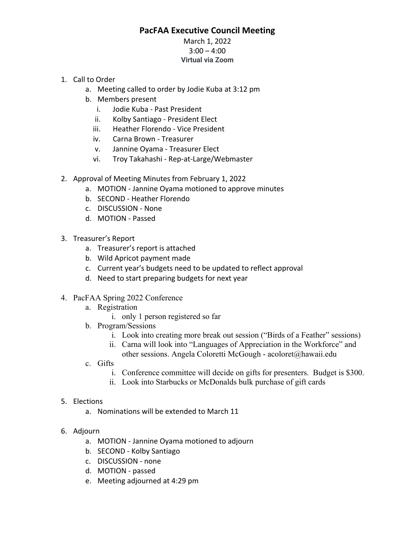## **PacFAA Executive Council Meeting**

## March 1, 2022  $3:00 - 4:00$ **Virtual via Zoom**

- 1. Call to Order
	- a. Meeting called to order by Jodie Kuba at 3:12 pm
	- b. Members present
		- i. Jodie Kuba ‐ Past President
		- ii. Kolby Santiago ‐ President Elect
		- iii. Heather Florendo ‐ Vice President
		- iv. Carna Brown ‐ Treasurer
		- v. Jannine Oyama ‐ Treasurer Elect
		- vi. Troy Takahashi ‐ Rep‐at‐Large/Webmaster
- 2. Approval of Meeting Minutes from February 1, 2022
	- a. MOTION ‐ Jannine Oyama motioned to approve minutes
	- b. SECOND ‐ Heather Florendo
	- c. DISCUSSION ‐ None
	- d. MOTION ‐ Passed
- 3. Treasurer's Report
	- a. Treasurer's report is attached
	- b. Wild Apricot payment made
	- c. Current year's budgets need to be updated to reflect approval
	- d. Need to start preparing budgets for next year
- 4. PacFAA Spring 2022 Conference
	- a. Registration
		- i. only 1 person registered so far
	- b. Program/Sessions
		- i. Look into creating more break out session ("Birds of a Feather" sessions)
		- ii. Carna will look into "Languages of Appreciation in the Workforce" and other sessions. Angela Coloretti McGough - acoloret@hawaii.edu
	- c. Gifts
		- i. Conference committee will decide on gifts for presenters. Budget is \$300.
		- ii. Look into Starbucks or McDonalds bulk purchase of gift cards

## 5. Elections

- a. Nominations will be extended to March 11
- 6. Adjourn
	- a. MOTION ‐ Jannine Oyama motioned to adjourn
	- b. SECOND ‐ Kolby Santiago
	- c. DISCUSSION ‐ none
	- d. MOTION ‐ passed
	- e. Meeting adjourned at 4:29 pm